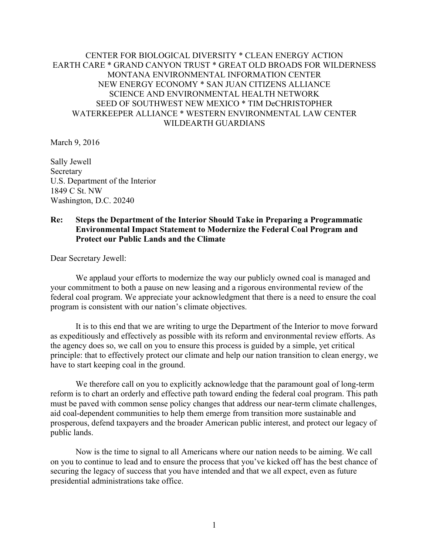## CENTER FOR BIOLOGICAL DIVERSITY \* CLEAN ENERGY ACTION EARTH CARE \* GRAND CANYON TRUST \* GREAT OLD BROADS FOR WILDERNESS MONTANA ENVIRONMENTAL INFORMATION CENTER NEW ENERGY ECONOMY \* SAN JUAN CITIZENS ALLIANCE SCIENCE AND ENVIRONMENTAL HEALTH NETWORK SEED OF SOUTHWEST NEW MEXICO \* TIM DeCHRISTOPHER WATERKEEPER ALLIANCE \* WESTERN ENVIRONMENTAL LAW CENTER WILDEARTH GUARDIANS

March 9, 2016

Sally Jewell Secretary U.S. Department of the Interior 1849 C St. NW Washington, D.C. 20240

## **Re: Steps the Department of the Interior Should Take in Preparing a Programmatic Environmental Impact Statement to Modernize the Federal Coal Program and Protect our Public Lands and the Climate**

Dear Secretary Jewell:

We applaud your efforts to modernize the way our publicly owned coal is managed and your commitment to both a pause on new leasing and a rigorous environmental review of the federal coal program. We appreciate your acknowledgment that there is a need to ensure the coal program is consistent with our nation's climate objectives.

It is to this end that we are writing to urge the Department of the Interior to move forward as expeditiously and effectively as possible with its reform and environmental review efforts. As the agency does so, we call on you to ensure this process is guided by a simple, yet critical principle: that to effectively protect our climate and help our nation transition to clean energy, we have to start keeping coal in the ground.

We therefore call on you to explicitly acknowledge that the paramount goal of long-term reform is to chart an orderly and effective path toward ending the federal coal program. This path must be paved with common sense policy changes that address our near-term climate challenges, aid coal-dependent communities to help them emerge from transition more sustainable and prosperous, defend taxpayers and the broader American public interest, and protect our legacy of public lands.

Now is the time to signal to all Americans where our nation needs to be aiming. We call on you to continue to lead and to ensure the process that you've kicked off has the best chance of securing the legacy of success that you have intended and that we all expect, even as future presidential administrations take office.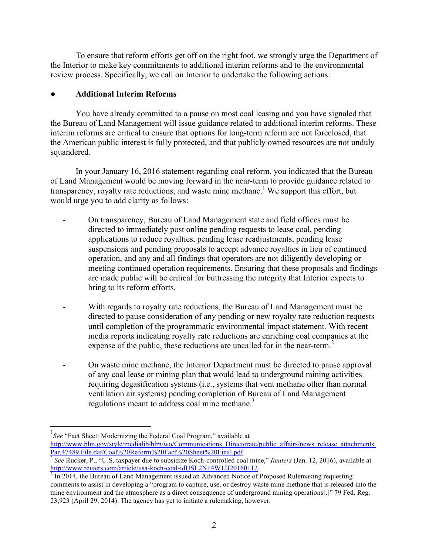To ensure that reform efforts get off on the right foot, we strongly urge the Department of the Interior to make key commitments to additional interim reforms and to the environmental review process. Specifically, we call on Interior to undertake the following actions:

## ● **Additional Interim Reforms**

You have already committed to a pause on most coal leasing and you have signaled that the Bureau of Land Management will issue guidance related to additional interim reforms. These interim reforms are critical to ensure that options for long-term reform are not foreclosed, that the American public interest is fully protected, and that publicly owned resources are not unduly squandered.

In your January 16, 2016 statement regarding coal reform, you indicated that the Bureau of Land Management would be moving forward in the near-term to provide guidance related to transparency, royalty rate reductions, and waste mine methane.<sup>1</sup> We support this effort, but would urge you to add clarity as follows:

- On transparency, Bureau of Land Management state and field offices must be directed to immediately post online pending requests to lease coal, pending applications to reduce royalties, pending lease readjustments, pending lease suspensions and pending proposals to accept advance royalties in lieu of continued operation, and any and all findings that operators are not diligently developing or meeting continued operation requirements. Ensuring that these proposals and findings are made public will be critical for buttressing the integrity that Interior expects to bring to its reform efforts.
- With regards to royalty rate reductions, the Bureau of Land Management must be directed to pause consideration of any pending or new royalty rate reduction requests until completion of the programmatic environmental impact statement. With recent media reports indicating royalty rate reductions are enriching coal companies at the expense of the public, these reductions are uncalled for in the near-term.<sup>2</sup>
- On waste mine methane, the Interior Department must be directed to pause approval of any coal lease or mining plan that would lead to underground mining activities requiring degasification systems (i.e., systems that vent methane other than normal ventilation air systems) pending completion of Bureau of Land Management regulations meant to address coal mine methane.<sup>3</sup>

<sup>&</sup>lt;sup>1</sup> See "Fact Sheet: Modernizing the Federal Coal Program," available at

http://www.blm.gov/style/medialib/blm/wo/Communications\_Directorate/public\_affairs/news\_release\_attachments.<br>Par.47489.File.dat/Coal%20Reform%20Fact%20Sheet%20Final.pdf.

<sup>&</sup>lt;sup>2</sup> See Rucker, P., "U.S. taxpayer due to subsidize Koch-controlled coal mine," *Reuters (Jan. 12, 2016), available at* http://www.reuters.com/article/usa-koch-coal-idUSL2N14W1JJ20160112.

<sup>&</sup>lt;sup>3</sup> In 2014, the Bureau of Land Management issued an Advanced Notice of Proposed Rulemaking requesting comments to assist in developing a "program to capture, use, or destroy waste mine methane that is released into the mine environment and the atmosphere as a direct consequence of underground mining operations[.]" 79 Fed. Reg. 23,923 (April 29, 2014). The agency has yet to initiate a rulemaking, however.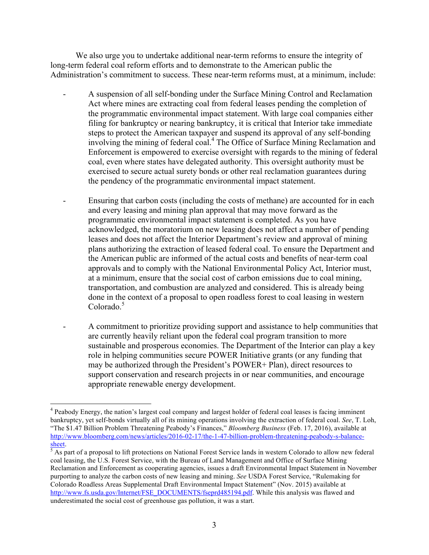We also urge you to undertake additional near-term reforms to ensure the integrity of long-term federal coal reform efforts and to demonstrate to the American public the Administration's commitment to success. These near-term reforms must, at a minimum, include:

- A suspension of all self-bonding under the Surface Mining Control and Reclamation Act where mines are extracting coal from federal leases pending the completion of the programmatic environmental impact statement. With large coal companies either filing for bankruptcy or nearing bankruptcy, it is critical that Interior take immediate steps to protect the American taxpayer and suspend its approval of any self-bonding involving the mining of federal coal.4 The Office of Surface Mining Reclamation and Enforcement is empowered to exercise oversight with regards to the mining of federal coal, even where states have delegated authority. This oversight authority must be exercised to secure actual surety bonds or other real reclamation guarantees during the pendency of the programmatic environmental impact statement.
- Ensuring that carbon costs (including the costs of methane) are accounted for in each and every leasing and mining plan approval that may move forward as the programmatic environmental impact statement is completed. As you have acknowledged, the moratorium on new leasing does not affect a number of pending leases and does not affect the Interior Department's review and approval of mining plans authorizing the extraction of leased federal coal. To ensure the Department and the American public are informed of the actual costs and benefits of near-term coal approvals and to comply with the National Environmental Policy Act, Interior must, at a minimum, ensure that the social cost of carbon emissions due to coal mining, transportation, and combustion are analyzed and considered. This is already being done in the context of a proposal to open roadless forest to coal leasing in western Colorado.<sup>5</sup>
	- A commitment to prioritize providing support and assistance to help communities that are currently heavily reliant upon the federal coal program transition to more sustainable and prosperous economies. The Department of the Interior can play a key role in helping communities secure POWER Initiative grants (or any funding that may be authorized through the President's POWER+ Plan), direct resources to support conservation and research projects in or near communities, and encourage appropriate renewable energy development.

 $\frac{1}{4}$  Peabody Energy, the nation's largest coal company and largest holder of federal coal leases is facing imminent bankruptcy, yet self-bonds virtually all of its mining operations involving the extraction of federal coal. *See*, T. Loh, "The \$1.47 Billion Problem Threatening Peabody's Finances," *Bloomberg Business* (Feb. 17, 2016), available at http://www.bloomberg.com/news/articles/2016-02-17/the-1-47-billion-problem-threatening-peabody-s-balance-

sheet.<br><sup>5</sup> As part of a proposal to lift protections on National Forest Service lands in western Colorado to allow new federal coal leasing, the U.S. Forest Service, with the Bureau of Land Management and Office of Surface Mining Reclamation and Enforcement as cooperating agencies, issues a draft Environmental Impact Statement in November purporting to analyze the carbon costs of new leasing and mining. *See* USDA Forest Service, "Rulemaking for Colorado Roadless Areas Supplemental Draft Environmental Impact Statement" (Nov. 2015) available at http://www.fs.usda.gov/Internet/FSE\_DOCUMENTS/fseprd485194.pdf. While this analysis was flawed and underestimated the social cost of greenhouse gas pollution, it was a start.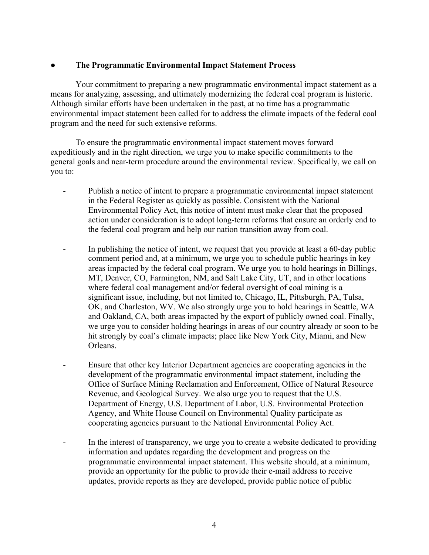## ● **The Programmatic Environmental Impact Statement Process**

Your commitment to preparing a new programmatic environmental impact statement as a means for analyzing, assessing, and ultimately modernizing the federal coal program is historic. Although similar efforts have been undertaken in the past, at no time has a programmatic environmental impact statement been called for to address the climate impacts of the federal coal program and the need for such extensive reforms.

To ensure the programmatic environmental impact statement moves forward expeditiously and in the right direction, we urge you to make specific commitments to the general goals and near-term procedure around the environmental review. Specifically, we call on you to:

- Publish a notice of intent to prepare a programmatic environmental impact statement in the Federal Register as quickly as possible. Consistent with the National Environmental Policy Act, this notice of intent must make clear that the proposed action under consideration is to adopt long-term reforms that ensure an orderly end to the federal coal program and help our nation transition away from coal.
- In publishing the notice of intent, we request that you provide at least a 60-day public comment period and, at a minimum, we urge you to schedule public hearings in key areas impacted by the federal coal program. We urge you to hold hearings in Billings, MT, Denver, CO, Farmington, NM, and Salt Lake City, UT, and in other locations where federal coal management and/or federal oversight of coal mining is a significant issue, including, but not limited to, Chicago, IL, Pittsburgh, PA, Tulsa, OK, and Charleston, WV. We also strongly urge you to hold hearings in Seattle, WA and Oakland, CA, both areas impacted by the export of publicly owned coal. Finally, we urge you to consider holding hearings in areas of our country already or soon to be hit strongly by coal's climate impacts; place like New York City, Miami, and New Orleans.
- Ensure that other key Interior Department agencies are cooperating agencies in the development of the programmatic environmental impact statement, including the Office of Surface Mining Reclamation and Enforcement, Office of Natural Resource Revenue, and Geological Survey. We also urge you to request that the U.S. Department of Energy, U.S. Department of Labor, U.S. Environmental Protection Agency, and White House Council on Environmental Quality participate as cooperating agencies pursuant to the National Environmental Policy Act.
- In the interest of transparency, we urge you to create a website dedicated to providing information and updates regarding the development and progress on the programmatic environmental impact statement. This website should, at a minimum, provide an opportunity for the public to provide their e-mail address to receive updates, provide reports as they are developed, provide public notice of public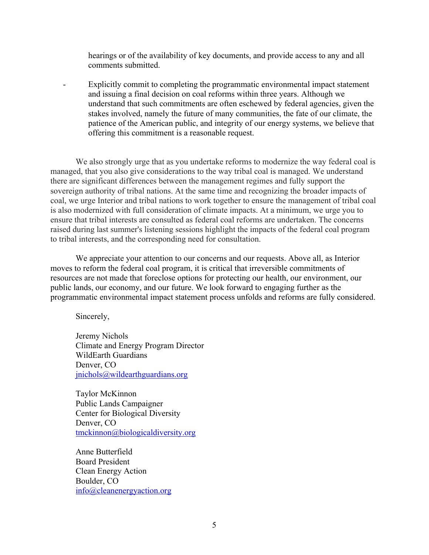hearings or of the availability of key documents, and provide access to any and all comments submitted.

Explicitly commit to completing the programmatic environmental impact statement and issuing a final decision on coal reforms within three years. Although we understand that such commitments are often eschewed by federal agencies, given the stakes involved, namely the future of many communities, the fate of our climate, the patience of the American public, and integrity of our energy systems, we believe that offering this commitment is a reasonable request.

We also strongly urge that as you undertake reforms to modernize the way federal coal is managed, that you also give considerations to the way tribal coal is managed. We understand there are significant differences between the management regimes and fully support the sovereign authority of tribal nations. At the same time and recognizing the broader impacts of coal, we urge Interior and tribal nations to work together to ensure the management of tribal coal is also modernized with full consideration of climate impacts. At a minimum, we urge you to ensure that tribal interests are consulted as federal coal reforms are undertaken. The concerns raised during last summer's listening sessions highlight the impacts of the federal coal program to tribal interests, and the corresponding need for consultation.

We appreciate your attention to our concerns and our requests. Above all, as Interior moves to reform the federal coal program, it is critical that irreversible commitments of resources are not made that foreclose options for protecting our health, our environment, our public lands, our economy, and our future. We look forward to engaging further as the programmatic environmental impact statement process unfolds and reforms are fully considered.

Sincerely,

Jeremy Nichols Climate and Energy Program Director WildEarth Guardians Denver, CO jnichols@wildearthguardians.org

Taylor McKinnon Public Lands Campaigner Center for Biological Diversity Denver, CO tmckinnon@biologicaldiversity.org

Anne Butterfield Board President Clean Energy Action Boulder, CO info@cleanenergyaction.org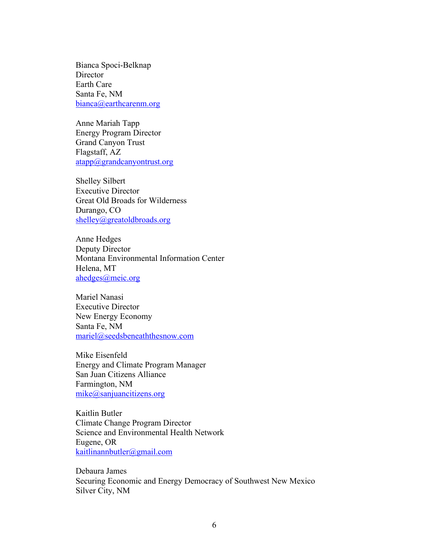Bianca Spoci-Belknap **Director** Earth Care Santa Fe, NM bianca@earthcarenm.org

Anne Mariah Tapp Energy Program Director Grand Canyon Trust Flagstaff, AZ  $atapp@grandcanyontrust.org$ 

Shelley Silbert Executive Director Great Old Broads for Wilderness Durango, CO shelley@greatoldbroads.org

Anne Hedges Deputy Director Montana Environmental Information Center Helena, MT ahedges@meic.org

Mariel Nanasi Executive Director New Energy Economy Santa Fe, NM mariel@seedsbeneaththesnow.com

Mike Eisenfeld Energy and Climate Program Manager San Juan Citizens Alliance Farmington, NM mike@sanjuancitizens.org

Kaitlin Butler Climate Change Program Director Science and Environmental Health Network Eugene, OR kaitlinannbutler@gmail.com

Debaura James Securing Economic and Energy Democracy of Southwest New Mexico Silver City, NM